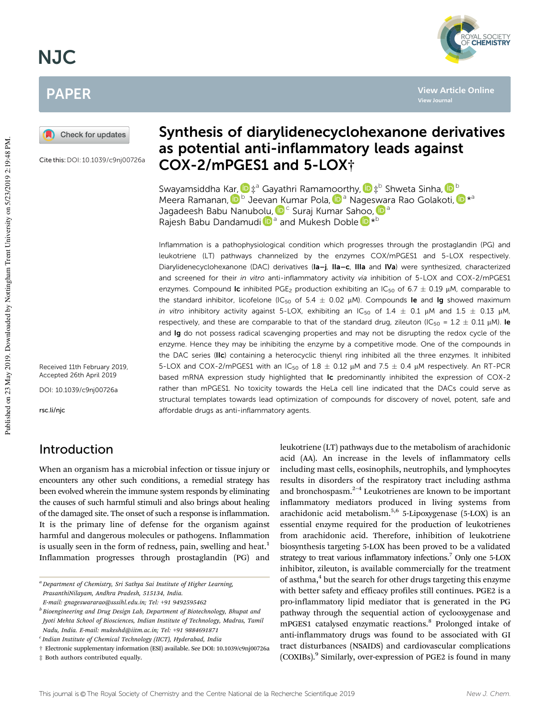# NJC

## PAPER



Cite this:DOI: 10.1039/c9nj00726a

Received 11th February 2019, Accepted 26th April 2019

DOI: 10.1039/c9nj00726a

rsc.li/njc

## Introduction

## Synthesis of diarylidenecyclohexanone derivatives as potential anti-inflammatory leads against COX-2/mPGES1 and 5-LOX†

Swayamsiddha Kar, D‡ª Gayathri Ramamoorthy, D‡<sup>b</sup> Shweta Sinha, D<sup>b</sup> Meera Ramanan, D<sup>b</sup> Jeevan Kumar Pola, D<sup>a</sup> Nageswara Rao Golakoti, D<sup>\*a</sup> Jagadeesh Babu Nanubolu, D<sup>c</sup> Suraj Kumar Sahoo, D<sup>a</sup> Rajesh Babu Dandamudi D<sup>a</sup> and Mukesh Doble D<sup>\*b</sup>

Inflammation is a pathophysiological condition which progresses through the prostaglandin (PG) and leukotriene (LT) pathways channelized by the enzymes COX/mPGES1 and 5-LOX respectively. Diarylidenecyclohexanone (DAC) derivatives (Ia-j, IIa–c, IIIa and IVa) were synthesized, characterized and screened for their in vitro anti-inflammatory activity via inhibition of 5-LOX and COX-2/mPGES1 enzymes. Compound Ic inhibited PGE<sub>2</sub> production exhibiting an IC<sub>50</sub> of 6.7  $\pm$  0.19  $\mu$ M, comparable to the standard inhibitor, licofelone (IC<sub>50</sub> of  $5.4 \pm 0.02$   $\mu$ M). Compounds le and lg showed maximum in vitro inhibitory activity against 5-LOX, exhibiting an  $IC_{50}$  of  $1.4 \pm 0.1$   $\mu$ M and  $1.5 \pm 0.13$   $\mu$ M, respectively, and these are comparable to that of the standard drug, zileuton (IC<sub>50</sub> =  $1.2 \pm 0.11$   $\mu$ M). Ie and Ig do not possess radical scavenging properties and may not be disrupting the redox cycle of the enzyme. Hence they may be inhibiting the enzyme by a competitive mode. One of the compounds in the DAC series (IIc) containing a heterocyclic thienyl ring inhibited all the three enzymes. It inhibited 5-LOX and COX-2/mPGES1 with an IC<sub>50</sub> of 1.8  $\pm$  0.12  $\mu$ M and 7.5  $\pm$  0.4  $\mu$ M respectively. An RT-PCR based mRNA expression study highlighted that Ic predominantly inhibited the expression of COX-2 rather than mPGES1. No toxicity towards the HeLa cell line indicated that the DACs could serve as structural templates towards lead optimization of compounds for discovery of novel, potent, safe and affordable drugs as anti-inflammatory agents.

When an organism has a microbial infection or tissue injury or encounters any other such conditions, a remedial strategy has been evolved wherein the immune system responds by eliminating the causes of such harmful stimuli and also brings about healing of the damaged site. The onset of such a response is inflammation. It is the primary line of defense for the organism against harmful and dangerous molecules or pathogens. Inflammation is usually seen in the form of redness, pain, swelling and heat.<sup>1</sup> Inflammation progresses through prostaglandin (PG) and

*E-mail: gnageswararao@sssihl.edu.in; Tel:* +*91 9492595462*

leukotriene (LT) pathways due to the metabolism of arachidonic acid (AA). An increase in the levels of inflammatory cells including mast cells, eosinophils, neutrophils, and lymphocytes results in disorders of the respiratory tract including asthma and bronchospasm. $2^{-4}$  Leukotrienes are known to be important inflammatory mediators produced in living systems from arachidonic acid metabolism.<sup>5,6</sup> 5-Lipoxygenase (5-LOX) is an essential enzyme required for the production of leukotrienes from arachidonic acid. Therefore, inhibition of leukotriene biosynthesis targeting 5-LOX has been proved to be a validated strategy to treat various inflammatory infections.<sup>7</sup> Only one 5-LOX inhibitor, zileuton, is available commercially for the treatment of asthma,<sup>4</sup> but the search for other drugs targeting this enzyme with better safety and efficacy profiles still continues. PGE2 is a pro-inflammatory lipid mediator that is generated in the PG pathway through the sequential action of cyclooxygenase and mPGES1 catalysed enzymatic reactions.<sup>8</sup> Prolonged intake of anti-inflammatory drugs was found to be associated with GI tract disturbances (NSAIDS) and cardiovascular complications (COXIBs).<sup>9</sup> Similarly, over-expression of PGE2 is found in many



**View Article Online**

**View Journal**

*<sup>a</sup> Department of Chemistry, Sri Sathya Sai Institute of Higher Learning, PrasanthiNilayam, Andhra Pradesh, 515134, India.*

*b Bioengineering and Drug Design Lab, Department of Biotechnology, Bhupat and Jyoti Mehta School of Biosciences, Indian Institute of Technology, Madras, Tamil Nadu, India. E-mail: mukeshd@iitm.ac.in; Tel:* +*91 9884691871*

*c Indian Institute of Chemical Technology (IICT), Hyderabad, India*

<sup>†</sup> Electronic supplementary information (ESI) available. See DOI: 10.1039/c9nj00726a

<sup>‡</sup> Both authors contributed equally.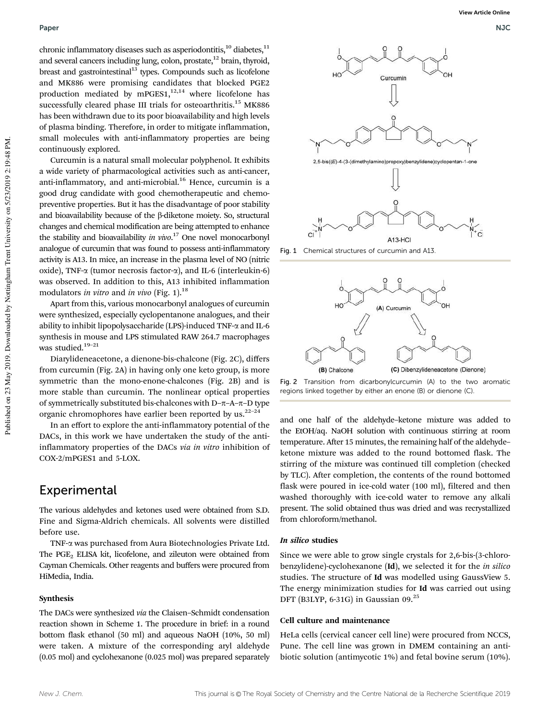chronic inflammatory diseases such as asperiodontitis, $^{10}$  diabetes, $^{11}$ and several cancers including lung, colon, prostate,<sup>12</sup> brain, thyroid, breast and gastrointestinal<sup>13</sup> types. Compounds such as licofelone and MK886 were promising candidates that blocked PGE2 production mediated by mPGES1, $12,14$  where licofelone has successfully cleared phase III trials for osteoarthritis.<sup>15</sup> MK886 has been withdrawn due to its poor bioavailability and high levels of plasma binding. Therefore, in order to mitigate inflammation, small molecules with anti-inflammatory properties are being continuously explored.

Curcumin is a natural small molecular polyphenol. It exhibits a wide variety of pharmacological activities such as anti-cancer, anti-inflammatory, and anti-microbial.<sup>16</sup> Hence, curcumin is a good drug candidate with good chemotherapeutic and chemopreventive properties. But it has the disadvantage of poor stability and bioavailability because of the  $\beta$ -diketone moiety. So, structural changes and chemical modification are being attempted to enhance the stability and bioavailability *in vivo*. <sup>17</sup> One novel monocarbonyl analogue of curcumin that was found to possess anti-inflammatory activity is A13. In mice, an increase in the plasma level of NO (nitric oxide), TNF- $\alpha$  (tumor necrosis factor- $\alpha$ ), and IL-6 (interleukin-6) was observed. In addition to this, A13 inhibited inflammation modulators *in vitro* and *in vivo* (Fig. 1).<sup>18</sup>

Apart from this, various monocarbonyl analogues of curcumin were synthesized, especially cyclopentanone analogues, and their ability to inhibit lipopolysaccharide (LPS)-induced TNF-a and IL-6 synthesis in mouse and LPS stimulated RAW 264.7 macrophages was studied.<sup>19-21</sup>

Diarylideneacetone, a dienone-bis-chalcone (Fig. 2C), differs from curcumin (Fig. 2A) in having only one keto group, is more symmetric than the mono-enone-chalcones (Fig. 2B) and is more stable than curcumin. The nonlinear optical properties of symmetrically substituted bis-chalcones with D- $\pi$ -A- $\pi$ -D type organic chromophores have earlier been reported by us. $22-24$ 

In an effort to explore the anti-inflammatory potential of the DACs, in this work we have undertaken the study of the antiinflammatory properties of the DACs *via in vitro* inhibition of COX-2/mPGES1 and 5-LOX.

## Experimental

The various aldehydes and ketones used were obtained from S.D. Fine and Sigma-Aldrich chemicals. All solvents were distilled before use.

TNF-a was purchased from Aura Biotechnologies Private Ltd. The PGE<sub>2</sub> ELISA kit, licofelone, and zileuton were obtained from Cayman Chemicals. Other reagents and buffers were procured from HiMedia, India.

#### Synthesis

The DACs were synthesized *via* the Claisen–Schmidt condensation reaction shown in Scheme 1. The procedure in brief: in a round bottom flask ethanol (50 ml) and aqueous NaOH (10%, 50 ml) were taken. A mixture of the corresponding aryl aldehyde (0.05 mol) and cyclohexanone (0.025 mol) was prepared separately



Fig. 1 Chemical structures of curcumin and A13.



Fig. 2 Transition from dicarbonylcurcumin (A) to the two aromatic regions linked together by either an enone (B) or dienone (C).

and one half of the aldehyde–ketone mixture was added to the EtOH/aq. NaOH solution with continuous stirring at room temperature. After 15 minutes, the remaining half of the aldehyde– ketone mixture was added to the round bottomed flask. The stirring of the mixture was continued till completion (checked by TLC). After completion, the contents of the round bottomed flask were poured in ice-cold water (100 ml), filtered and then washed thoroughly with ice-cold water to remove any alkali present. The solid obtained thus was dried and was recrystallized from chloroform/methanol.

#### In silico studies

Since we were able to grow single crystals for 2,6-bis-(3-chlorobenzylidene)-cyclohexanone (Id), we selected it for the *in silico* studies. The structure of Id was modelled using GaussView 5. The energy minimization studies for Id was carried out using DFT (B3LYP, 6-31G) in Gaussian 09.<sup>25</sup>

#### Cell culture and maintenance

HeLa cells (cervical cancer cell line) were procured from NCCS, Pune. The cell line was grown in DMEM containing an antibiotic solution (antimycotic 1%) and fetal bovine serum (10%).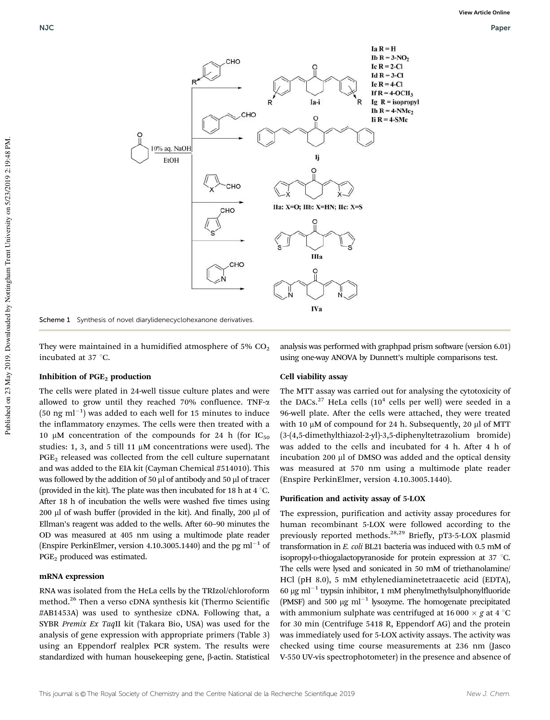

Scheme 1 Synthesis of novel diarylidenecyclohexanone derivatives

They were maintained in a humidified atmosphere of 5%  $CO<sub>2</sub>$ incubated at 37 °C.

#### Inhibition of PGE<sub>2</sub> production

The cells were plated in 24-well tissue culture plates and were allowed to grow until they reached 70% confluence. TNF-a  $(50 \text{ ng ml}^{-1})$  was added to each well for 15 minutes to induce the inflammatory enzymes. The cells were then treated with a 10  $\mu$ M concentration of the compounds for 24 h (for IC<sub>50</sub>) studies: 1, 3, and 5 till 11  $\mu$ M concentrations were used). The PGE<sub>2</sub> released was collected from the cell culture supernatant and was added to the EIA kit (Cayman Chemical #514010). This was followed by the addition of 50  $\mu$ l of antibody and 50  $\mu$ l of tracer (provided in the kit). The plate was then incubated for 18 h at 4  $\degree$ C. After 18 h of incubation the wells were washed five times using  $200$   $\mu$ l of wash buffer (provided in the kit). And finally,  $200$   $\mu$ l of Ellman's reagent was added to the wells. After 60–90 minutes the OD was measured at 405 nm using a multimode plate reader (Enspire PerkinElmer, version 4.10.3005.1440) and the pg ml<sup>-1</sup> of PGE<sub>2</sub> produced was estimated.

#### mRNA expression

RNA was isolated from the HeLa cells by the TRIzol/chloroform method.<sup>26</sup> Then a verso cDNA synthesis kit (Thermo Scientific #AB1453A) was used to synthesize cDNA. Following that, a SYBR *Premix Ex Taq*II kit (Takara Bio, USA) was used for the analysis of gene expression with appropriate primers (Table 3) using an Eppendorf realplex PCR system. The results were standardized with human housekeeping gene, β-actin. Statistical

analysis was performed with graphpad prism software (version 6.01) using one-way ANOVA by Dunnett's multiple comparisons test.

#### Cell viability assay

The MTT assay was carried out for analysing the cytotoxicity of the DACs. $27$  HeLa cells  $(10<sup>4</sup>$  cells per well) were seeded in a 96-well plate. After the cells were attached, they were treated with 10  $\mu$ M of compound for 24 h. Subsequently, 20  $\mu$ l of MTT (3-(4,5-dimethylthiazol-2-yl)-3,5-diphenyltetrazolium bromide) was added to the cells and incubated for 4 h. After 4 h of incubation 200 µl of DMSO was added and the optical density was measured at 570 nm using a multimode plate reader (Enspire PerkinElmer, version 4.10.3005.1440).

#### Purification and activity assay of 5-LOX

The expression, purification and activity assay procedures for human recombinant 5-LOX were followed according to the previously reported methods.28,29 Briefly, pT3-5-LOX plasmid transformation in *E. coli* BL21 bacteria was induced with 0.5 mM of isopropyl-D-thiogalactopyranoside for protein expression at 37 °C. The cells were lysed and sonicated in 50 mM of triethanolamine/ HCl (pH 8.0), 5 mM ethylenediaminetetraacetic acid (EDTA), 60  $\mu$ g ml<sup>-1</sup> trypsin inhibitor, 1 mM phenylmethylsulphonylfluoride (PMSF) and 500  $\mu$ g ml<sup>-1</sup> lysozyme. The homogenate precipitated with ammonium sulphate was centrifuged at 16000  $\times$  g at 4  $\degree$ C for 30 min (Centrifuge 5418 R, Eppendorf AG) and the protein was immediately used for 5-LOX activity assays. The activity was checked using time course measurements at 236 nm (Jasco V-550 UV-vis spectrophotometer) in the presence and absence of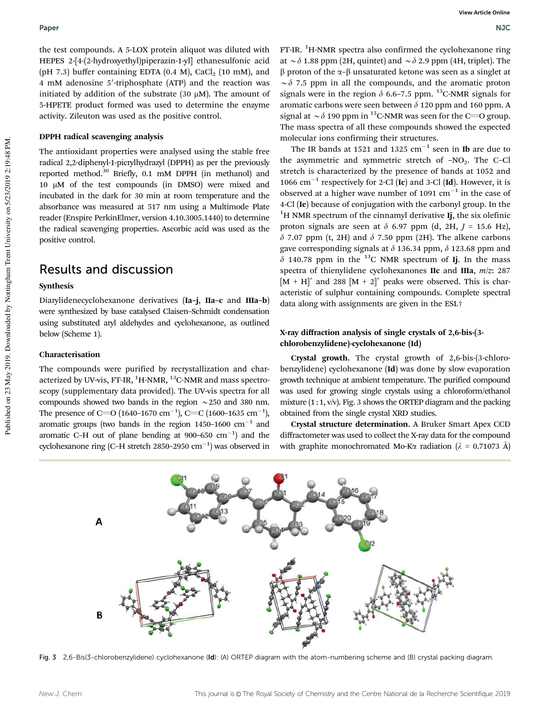the test compounds. A 5-LOX protein aliquot was diluted with HEPES 2-[4-(2-hydroxyethyl)piperazin-1-yl] ethanesulfonic acid (pH 7.3) buffer containing EDTA  $(0.4 \text{ M})$ , CaCl<sub>2</sub>  $(10 \text{ mM})$ , and 4 mM adenosine 5'-triphosphate (ATP) and the reaction was initiated by addition of the substrate (30  $\mu$ M). The amount of 5-HPETE product formed was used to determine the enzyme activity. Zileuton was used as the positive control.

#### DPPH radical scavenging analysis

The antioxidant properties were analysed using the stable free radical 2,2-diphenyl-1-picrylhydrazyl (DPPH) as per the previously reported method.<sup>30</sup> Briefly, 0.1 mM DPPH (in methanol) and 10 mM of the test compounds (in DMSO) were mixed and incubated in the dark for 30 min at room temperature and the absorbance was measured at 517 nm using a Multimode Plate reader (Enspire PerkinElmer, version 4.10.3005.1440) to determine the radical scavenging properties. Ascorbic acid was used as the positive control.

### Results and discussion

#### Synthesis

Diarylidenecyclohexanone derivatives (Ia–j, IIa–c and IIIa–b) were synthesized by base catalysed Claisen–Schmidt condensation using substituted aryl aldehydes and cyclohexanone, as outlined below (Scheme 1).

#### Characterisation

The compounds were purified by recrystallization and characterized by UV-vis, FT-IR,  ${}^{1}$ H-NMR,  ${}^{13}$ C-NMR and mass spectroscopy (supplementary data provided). The UV-vis spectra for all compounds showed two bands in the region  $\sim$  250 and 380 nm. The presence of C=O (1640–1670 cm<sup>-1</sup>), C=C (1600–1635 cm<sup>-1</sup>), aromatic groups (two bands in the region  $1450-1600$   $cm^{-1}$  and aromatic C-H out of plane bending at  $900-650$  cm<sup>-1</sup>) and the cyclohexanone ring (C-H stretch 2850-2950  $cm^{-1}$ ) was observed in

 $FT-IR.$   $^{1}$ H-NMR spectra also confirmed the cyclohexanone ring at  $\sim \delta$  1.88 ppm (2H, quintet) and  $\sim \delta$  2.9 ppm (4H, triplet). The  $\beta$  proton of the  $\alpha$ - $\beta$  unsaturated ketone was seen as a singlet at  $\sim \delta$  7.5 ppm in all the compounds, and the aromatic proton signals were in the region  $\delta$  6.6–7.5 ppm. <sup>13</sup>C-NMR signals for aromatic carbons were seen between  $\delta$  120 ppm and 160 ppm. A signal at  $\sim \delta$  190 ppm in <sup>13</sup>C-NMR was seen for the C=O group. The mass spectra of all these compounds showed the expected molecular ions confirming their structures.

The IR bands at 1521 and 1325  $\text{cm}^{-1}$  seen in **Ib** are due to the asymmetric and symmetric stretch of  $-NO<sub>2</sub>$ . The C–Cl stretch is characterized by the presence of bands at 1052 and 1066  $\text{cm}^{-1}$  respectively for 2-Cl (Ic) and 3-Cl (Id). However, it is observed at a higher wave number of 1091  $\text{cm}^{-1}$  in the case of 4-Cl (Ie) because of conjugation with the carbonyl group. In the  $1<sup>1</sup>H$  NMR spectrum of the cinnamyl derivative Ij, the six olefinic proton signals are seen at  $\delta$  6.97 ppm (d, 2H,  $J = 15.6$  Hz),  $\delta$  7.07 ppm (t, 2H) and  $\delta$  7.50 ppm (2H). The alkene carbons gave corresponding signals at  $\delta$  136.34 ppm,  $\delta$  123.68 ppm and  $\delta$  140.78 ppm in the <sup>13</sup>C NMR spectrum of Ij. In the mass spectra of thienylidene cyclohexanones IIc and IIIa, *m*/*z*: 287  $[M + H]^{+}$  and 288  $[M + 2]^{+}$  peaks were observed. This is characteristic of sulphur containing compounds. Complete spectral data along with assignments are given in the ESI.†

#### X-ray diffraction analysis of single crystals of 2,6-bis-(3 chlorobenzylidene)-cyclohexanone (Id)

Crystal growth. The crystal growth of 2,6-bis-(3-chlorobenzylidene) cyclohexanone (Id) was done by slow evaporation growth technique at ambient temperature. The purified compound was used for growing single crystals using a chloroform/ethanol mixture  $(1:1, v/v)$ . Fig. 3 shows the ORTEP diagram and the packing obtained from the single crystal XRD studies.

Crystal structure determination. A Bruker Smart Apex CCD diffractometer was used to collect the X-ray data for the compound with graphite monochromated Mo-K $\alpha$  radiation ( $\lambda = 0.71073$  Å)



Fig. 3 2,6-Bis(3-chlorobenzylidene) cyclohexanone (Id): (A) ORTEP diagram with the atom-numbering scheme and (B) crystal packing diagram.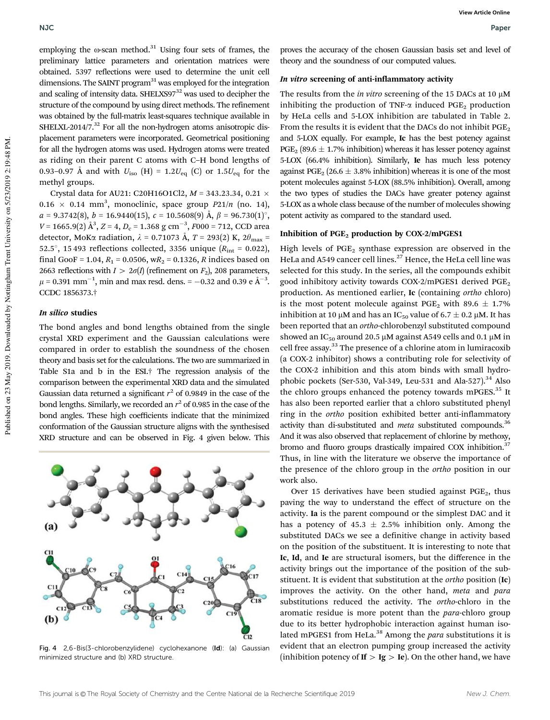employing the  $\omega$ -scan method.<sup>31</sup> Using four sets of frames, the preliminary lattice parameters and orientation matrices were obtained. 5397 reflections were used to determine the unit cell dimensions. The SAINT program<sup>31</sup> was employed for the integration and scaling of intensity data. SHELXS97<sup>32</sup> was used to decipher the structure of the compound by using direct methods. The refinement was obtained by the full-matrix least-squares technique available in SHELXL-2014/7. $^{32}$  For all the non-hydrogen atoms anisotropic displacement parameters were incorporated. Geometrical positioning for all the hydrogen atoms was used. Hydrogen atoms were treated as riding on their parent C atoms with C–H bond lengths of 0.93–0.97 Å and with  $U_{\text{iso}}$  (H) = 1.2 $U_{\text{eq}}$  (C) or 1.5 $U_{\text{eq}}$  for the methyl groups.

Crystal data for AU21: C20H16O1Cl2, *M* = 343.23.34, 0.21  $0.16 \times 0.14$  mm<sup>3</sup>, monoclinic, space group  $P21/n$  (no. 14),  $a = 9.3742(8)$ ,  $b = 16.9440(15)$ ,  $c = 10.5608(9)$  Å,  $\beta = 96.730(1)$ <sup>o</sup>,  $V = 1665.9(2)$   $\mathring{A}^3$ ,  $Z = 4$ ,  $D_c = 1.368$  g cm<sup>-3</sup>,  $F000 = 712$ , CCD area detector, MoK $\alpha$  radiation,  $\lambda = 0.71073$  Å,  $T = 293(2)$  K,  $2\theta_{\text{max}} =$ 52.5°, 15 493 reflections collected, 3356 unique  $(R_{int} = 0.022)$ , final GooF = 1.04,  $R_1$  = 0.0506,  $wR_2$  = 0.1326, *R* indices based on 2663 reflections with  $I > 2\sigma(I)$  (refinement on  $F_2$ ), 208 parameters,  $\mu$  = 0.391 mm<sup>-1</sup>, min and max resd. dens. = -0.32 and 0.39 e Å<sup>-3</sup>. CCDC 1856373.†

#### In silico studies

The bond angles and bond lengths obtained from the single crystal XRD experiment and the Gaussian calculations were compared in order to establish the soundness of the chosen theory and basis set for the calculations. The two are summarized in Table S1a and b in the ESI.† The regression analysis of the comparison between the experimental XRD data and the simulated Gaussian data returned a significant  $r^2$  of 0.9849 in the case of the bond lengths. Similarly, we recorded an  $r^2$  of 0.985 in the case of the bond angles. These high coefficients indicate that the minimized conformation of the Gaussian structure aligns with the synthesised XRD structure and can be observed in Fig. 4 given below. This



Fig. 4 2,6-Bis(3-chlorobenzylidene) cyclohexanone (Id): (a) Gaussian minimized structure and (b) XRD structure.

proves the accuracy of the chosen Gaussian basis set and level of theory and the soundness of our computed values.

#### In vitro screening of anti-inflammatory activity

The results from the *in vitro* screening of the 15 DACs at 10 µM inhibiting the production of TNF- $\alpha$  induced PGE<sub>2</sub> production by HeLa cells and 5-LOX inhibition are tabulated in Table 2. From the results it is evident that the DACs do not inhibit  $PGE<sub>2</sub>$ and 5-LOX equally. For example, Ic has the best potency against  $PGE_2$  (89.6  $\pm$  1.7% inhibition) whereas it has lesser potency against 5-LOX (66.4% inhibition). Similarly, Ie has much less potency against PGE<sub>2</sub> (26.6  $\pm$  3.8% inhibition) whereas it is one of the most potent molecules against 5-LOX (88.5% inhibition). Overall, among the two types of studies the DACs have greater potency against 5-LOX as a whole class because of the number of molecules showing potent activity as compared to the standard used.

#### Inhibition of  $PGE_2$  production by COX-2/mPGES1

High levels of  $PGE_2$  synthase expression are observed in the HeLa and A549 cancer cell lines.<sup>27</sup> Hence, the HeLa cell line was selected for this study. In the series, all the compounds exhibit good inhibitory activity towards COX-2/mPGES1 derived PGE<sub>2</sub> production. As mentioned earlier, Ic (containing *ortho* chloro) is the most potent molecule against PGE<sub>2</sub> with 89.6  $\pm$  1.7% inhibition at 10  $\mu$ M and has an IC<sub>50</sub> value of 6.7  $\pm$  0.2  $\mu$ M. It has been reported that an *ortho*-chlorobenzyl substituted compound showed an IC<sub>50</sub> around 20.5  $\mu$ M against A549 cells and 0.1  $\mu$ M in cell free assay.<sup>33</sup> The presence of a chlorine atom in lumiracoxib (a COX-2 inhibitor) shows a contributing role for selectivity of the COX-2 inhibition and this atom binds with small hydrophobic pockets (Ser-530, Val-349, Leu-531 and Ala-527). $34$  Also the chloro groups enhanced the potency towards mPGES.<sup>35</sup> It has also been reported earlier that a chloro substituted phenyl ring in the *ortho* position exhibited better anti-inflammatory activity than di-substituted and *meta* substituted compounds.<sup>36</sup> And it was also observed that replacement of chlorine by methoxy, bromo and fluoro groups drastically impaired COX inhibition.<sup>37</sup> Thus, in line with the literature we observe the importance of the presence of the chloro group in the *ortho* position in our work also.

Over 15 derivatives have been studied against  $PGE<sub>2</sub>$ , thus paving the way to understand the effect of structure on the activity. Ia is the parent compound or the simplest DAC and it has a potency of  $45.3 \pm 2.5\%$  inhibition only. Among the substituted DACs we see a definitive change in activity based on the position of the substituent. It is interesting to note that Ic, Id, and Ie are structural isomers, but the difference in the activity brings out the importance of the position of the substituent. It is evident that substitution at the *ortho* position (Ic) improves the activity. On the other hand, *meta* and *para* substitutions reduced the activity. The *ortho*-chloro in the aromatic residue is more potent than the *para*-chloro group due to its better hydrophobic interaction against human isolated mPGES1 from HeLa.<sup>38</sup> Among the *para* substitutions it is evident that an electron pumping group increased the activity (inhibition potency of If  $> Ig > Ie$ ). On the other hand, we have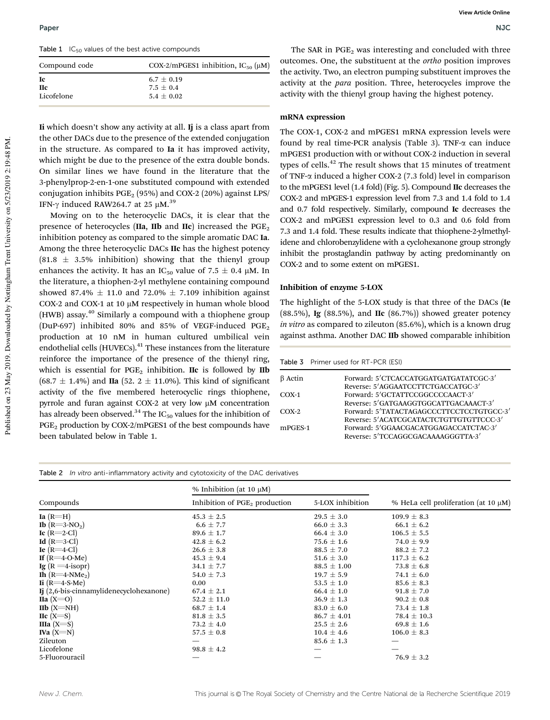Table  $1$  IC<sub>50</sub> values of the best active compounds

| Compound code | COX-2/mPGES1 inhibition, $IC_{50}$ ( $\mu$ M) |  |
|---------------|-----------------------------------------------|--|
| Ic            | $6.7 \pm 0.19$                                |  |
| Нc            | $7.5 + 0.4$                                   |  |
| Licofelone    | $5.4 \pm 0.02$                                |  |

Ii which doesn't show any activity at all. Ii is a class apart from the other DACs due to the presence of the extended conjugation in the structure. As compared to Ia it has improved activity, which might be due to the presence of the extra double bonds. On similar lines we have found in the literature that the 3-phenylprop-2-en-1-one substituted compound with extended conjugation inhibits  $PGE_2$  (95%) and COX-2 (20%) against LPS/ IFN- $\gamma$  induced RAW264.7 at 25 µM.<sup>39</sup>

Moving on to the heterocyclic DACs, it is clear that the presence of heterocycles ( $\text{IIa}$ ,  $\text{IIb}$  and  $\text{IIc}$ ) increased the PGE<sub>2</sub> inhibition potency as compared to the simple aromatic DAC Ia. Among the three heterocyclic DACs IIc has the highest potency  $(81.8 \pm 3.5\%$  inhibition) showing that the thienyl group enhances the activity. It has an IC<sub>50</sub> value of  $7.5 \pm 0.4$  µM. In the literature, a thiophen-2-yl methylene containing compound showed 87.4%  $\pm$  11.0 and 72.0%  $\pm$  7.109 inhibition against COX-2 and COX-1 at 10  $\mu$ M respectively in human whole blood (HWB) assay.<sup>40</sup> Similarly a compound with a thiophene group (DuP-697) inhibited 80% and 85% of VEGF-induced  $PGE_2$ production at 10 nM in human cultured umbilical vein endothelial cells (HUVECs).<sup>41</sup> These instances from the literature reinforce the importance of the presence of the thienyl ring, which is essential for  $PGE_2$  inhibition. IIc is followed by IIb  $(68.7 \pm 1.4\%)$  and IIa  $(52. 2 \pm 11.0\%)$ . This kind of significant activity of the five membered heterocyclic rings thiophene, pyrrole and furan against COX-2 at very low µM concentration has already been observed.<sup>34</sup> The IC<sub>50</sub> values for the inhibition of PGE<sub>2</sub> production by COX-2/mPGES1 of the best compounds have been tabulated below in Table 1.

The SAR in  $PGE<sub>2</sub>$  was interesting and concluded with three outcomes. One, the substituent at the *ortho* position improves the activity. Two, an electron pumping substituent improves the activity at the *para* position. Three, heterocycles improve the activity with the thienyl group having the highest potency.

#### mRNA expression

The COX-1, COX-2 and mPGES1 mRNA expression levels were found by real time-PCR analysis (Table 3). TNF- $\alpha$  can induce mPGES1 production with or without COX-2 induction in several types of cells. $42$  The result shows that 15 minutes of treatment of TNF- $\alpha$  induced a higher COX-2 (7.3 fold) level in comparison to the mPGES1 level (1.4 fold) (Fig. 5). Compound IIc decreases the COX-2 and mPGES-1 expression level from 7.3 and 1.4 fold to 1.4 and 0.7 fold respectively. Similarly, compound Ic decreases the COX-2 and mPGES1 expression level to 0.3 and 0.6 fold from 7.3 and 1.4 fold. These results indicate that thiophene-2-ylmethylidene and chlorobenzylidene with a cyclohexanone group strongly inhibit the prostaglandin pathway by acting predominantly on COX-2 and to some extent on mPGES1.

#### Inhibition of enzyme 5-LOX

The highlight of the 5-LOX study is that three of the DACs (Ie (88.5%), Ig (88.5%), and IIc (86.7%)) showed greater potency *in vitro* as compared to zileuton (85.6%), which is a known drug against asthma. Another DAC IIb showed comparable inhibition

Table 3 Primer used for RT-PCR (ESI)

| $\beta$ Actin | Forward: 5'CTCACCATGGATGATGATATCGC-3'    |
|---------------|------------------------------------------|
|               | Reverse: 5'AGGAATCCTTCTGACCATGC-3'       |
| $COX-1$       | Forward: 5'GCTATTCCGGCCCCAACT-3'         |
|               | Reverse: 5'GATGAAGGTGGCATTGACAAACT-3'    |
| $COX-2$       | Forward: 5'TATACTAGAGCCCTTCCTCCTGTGCC-3' |
|               | Reverse: 5'ACATCGCATACTCTGTTGTGTTCCC-3'  |
| mPGES-1       | Forward: 5'GGAACGACATGGAGACCATCTAC-3'    |
|               | Reverse: 5'TCCAGGCGACAAAAGGGTTA-3'       |
|               |                                          |

#### Table 2 In vitro anti-inflammatory activity and cytotoxicity of the DAC derivatives

|                                         | % Inhibition (at 10 $\mu$ M)     |                  |                                           |  |
|-----------------------------------------|----------------------------------|------------------|-------------------------------------------|--|
| Compounds                               | Inhibition of $PGE_2$ production | 5-LOX inhibition | % HeLa cell proliferation (at 10 $\mu$ M) |  |
| Ia $(R=H)$                              | $45.3 \pm 2.5$                   | $29.5 \pm 3.0$   | $109.9 \pm 8.3$                           |  |
| <b>Ib</b> $(R=3-NO2)$                   | $6.6 \pm 7.7$                    | $66.0 \pm 3.3$   | $66.1 \pm 6.2$                            |  |
| Ic $(R=2-Cl)$                           | $89.6 \pm 1.7$                   | $66.4 \pm 3.0$   | $106.5 \pm 5.5$                           |  |
| Id $(R=3-Cl)$                           | $42.8 \pm 6.2$                   | $75.6 \pm 1.6$   | 74.0 $\pm$ 9.9                            |  |
| Ie $(R=4$ -Cl $)$                       | $26.6 \pm 3.8$                   | $88.5 \pm 7.0$   | $88.2 \pm 7.2$                            |  |
| If $(R=4-O-Me)$                         | $45.3 \pm 9.4$                   | $51.6 \pm 3.0$   | $117.3 \pm 6.2$                           |  |
| Ig $(R = 4$ -isopr)                     | $34.1 \pm 7.7$                   | $88.5 \pm 1.00$  | $73.8 \pm 6.8$                            |  |
| Ih $(R=4-NMe2)$                         | $54.0 \pm 7.3$                   | $19.7 \pm 5.9$   | 74.1 $\pm$ 6.0                            |  |
| Ii $(R=4-S-Me)$                         | 0.00                             | $53.5 \pm 1.0$   | $85.6 \pm 8.3$                            |  |
| Ij (2,6-bis-cinnamylidenecyclohexanone) | $67.4 \pm 2.1$                   | $66.4 \pm 1.0$   | $91.8 \pm 7.0$                            |  |
| IIa $(X=O)$                             | $52.2 \pm 11.0$                  | $36.9 \pm 1.3$   | $90.2 \pm 0.8$                            |  |
| $I$ Ib $(X=NH)$                         | $68.7 \pm 1.4$                   | $83.0 \pm 6.0$   | $73.4 \pm 1.8$                            |  |
| $\text{IIc}$ (X=S)                      | $81.8 \pm 3.5$                   | $86.7 \pm 4.01$  | $78.4 \pm 10.3$                           |  |
| IIIa $(X= S)$                           | 73.2 $\pm$ 4.0                   | $25.5 \pm 2.6$   | $69.8 \pm 1.6$                            |  |
| IVa $(X=N)$                             | $57.5 \pm 0.8$                   | $10.4 \pm 4.6$   | $106.0 \pm 8.3$                           |  |
| Zileuton                                |                                  | $85.6 \pm 1.3$   |                                           |  |
| Licofelone                              | $98.8 \pm 4.2$                   |                  |                                           |  |
| 5-Fluorouracil                          |                                  |                  | $76.9 \pm 3.2$                            |  |
|                                         |                                  |                  |                                           |  |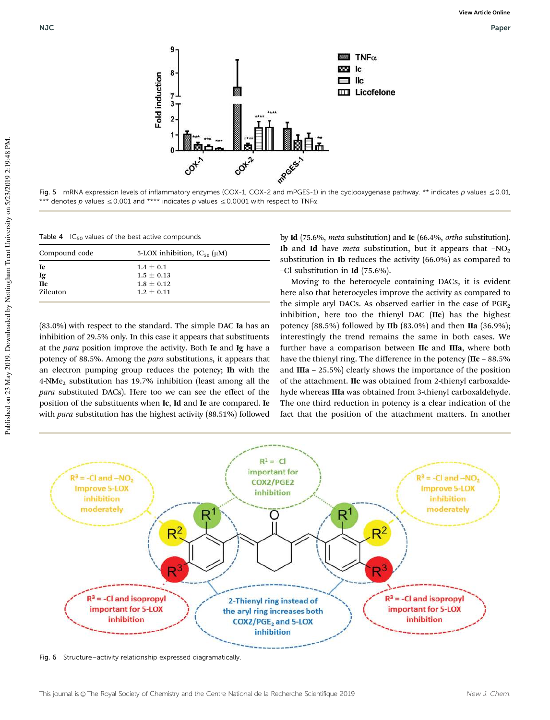

Fig. 5 mRNA expression levels of inflammatory enzymes (COX-1, COX-2 and mPGES-1) in the cyclooxygenase pathway. \*\* indicates p values  $\leq 0.01$ , \*\*\* denotes p values  $\leq$  0.001 and \*\*\*\* indicates p values  $\leq$  0.0001 with respect to TNF $\alpha$ .

| Table 4 $IC_{50}$ values of the best active compounds |  |
|-------------------------------------------------------|--|
|-------------------------------------------------------|--|

| Compound code | 5-LOX inhibition, $IC_{50}(\mu M)$ |
|---------------|------------------------------------|
| Ie            | $1.4 \pm 0.1$                      |
| Ig            | $1.5 \pm 0.13$                     |
| <b>IIc</b>    | $1.8 + 0.12$                       |
| Zileuton      | $1.2 + 0.11$                       |

(83.0%) with respect to the standard. The simple DAC Ia has an inhibition of 29.5% only. In this case it appears that substituents at the *para* position improve the activity. Both Ie and Ig have a potency of 88.5%. Among the *para* substitutions, it appears that an electron pumping group reduces the potency; Ih with the 4-NMe<sup>2</sup> substitution has 19.7% inhibition (least among all the *para* substituted DACs). Here too we can see the effect of the position of the substituents when Ic, Id and Ie are compared. Ie with *para* substitution has the highest activity (88.51%) followed

by Id (75.6%, *meta* substitution) and Ic (66.4%, *ortho* substitution). **Ib** and **Id** have *meta* substitution, but it appears that  $-NO<sub>2</sub>$ substitution in Ib reduces the activity (66.0%) as compared to –Cl substitution in Id (75.6%).

Moving to the heterocycle containing DACs, it is evident here also that heterocycles improve the activity as compared to the simple aryl DACs. As observed earlier in the case of  $PGE_2$ inhibition, here too the thienyl DAC (IIc) has the highest potency  $(88.5\%)$  followed by **IIb**  $(83.0\%)$  and then **IIa**  $(36.9\%)$ ; interestingly the trend remains the same in both cases. We further have a comparison between IIc and IIIa, where both have the thienyl ring. The difference in the potency (IIc - 88.5%) and IIIa – 25.5%) clearly shows the importance of the position of the attachment. IIc was obtained from 2-thienyl carboxaldehyde whereas IIIa was obtained from 3-thienyl carboxaldehyde. The one third reduction in potency is a clear indication of the fact that the position of the attachment matters. In another



Fig. 6 Structure–activity relationship expressed diagramatically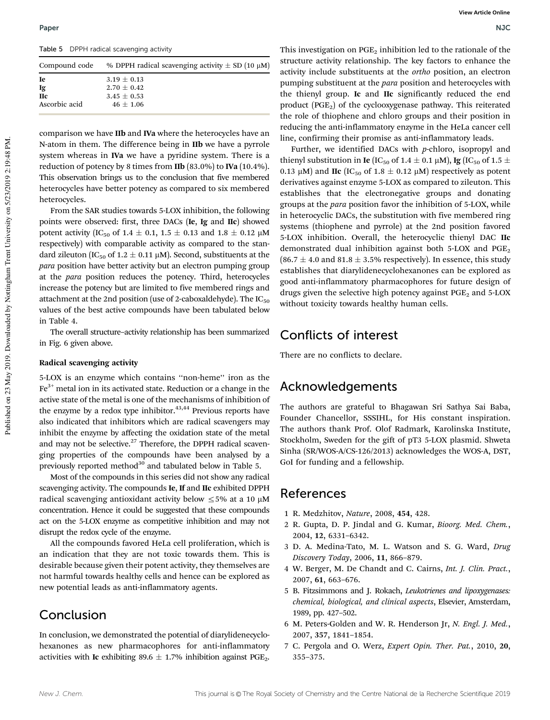Table 5 DPPH radical scavenging activity

| Compound code | % DPPH radical scavenging activity $\pm$ SD (10 $\mu$ M) |
|---------------|----------------------------------------------------------|
| Ie            | $3.19 \pm 0.13$                                          |
| Ig            | $2.70 \pm 0.42$                                          |
| <b>H</b> c    | $3.45 \pm 0.53$                                          |
| Ascorbic acid | $46 \pm 1.06$                                            |
|               |                                                          |

comparison we have IIb and IVa where the heterocycles have an N-atom in them. The difference being in IIb we have a pyrrole system whereas in IVa we have a pyridine system. There is a reduction of potency by 8 times from IIb (83.0%) to IVa (10.4%). This observation brings us to the conclusion that five membered heterocycles have better potency as compared to six membered heterocycles.

From the SAR studies towards 5-LOX inhibition, the following points were observed: first, three DACs (Ie, Ig and IIc) showed potent activity (IC<sub>50</sub> of  $1.4 \pm 0.1$ ,  $1.5 \pm 0.13$  and  $1.8 \pm 0.12$  µM respectively) with comparable activity as compared to the standard zileuton (IC<sub>50</sub> of 1.2  $\pm$  0.11 µM). Second, substituents at the *para* position have better activity but an electron pumping group at the *para* position reduces the potency. Third, heterocycles increase the potency but are limited to five membered rings and attachment at the 2nd position (use of 2-caboxaldehyde). The  $IC_{50}$ values of the best active compounds have been tabulated below in Table 4.

The overall structure–activity relationship has been summarized in Fig. 6 given above.

#### Radical scavenging activity

5-LOX is an enzyme which contains ''non-heme'' iron as the  $Fe<sup>3+</sup>$  metal ion in its activated state. Reduction or a change in the active state of the metal is one of the mechanisms of inhibition of the enzyme by a redox type inhibitor. $43,44$  Previous reports have also indicated that inhibitors which are radical scavengers may inhibit the enzyme by affecting the oxidation state of the metal and may not be selective.<sup>27</sup> Therefore, the DPPH radical scavenging properties of the compounds have been analysed by a previously reported method $30$  and tabulated below in Table 5.

Most of the compounds in this series did not show any radical scavenging activity. The compounds Ie, If and IIc exhibited DPPH radical scavenging antioxidant activity below  $\leq$  5% at a 10  $\mu$ M concentration. Hence it could be suggested that these compounds act on the 5-LOX enzyme as competitive inhibition and may not disrupt the redox cycle of the enzyme.

All the compounds favored HeLa cell proliferation, which is an indication that they are not toxic towards them. This is desirable because given their potent activity, they themselves are not harmful towards healthy cells and hence can be explored as new potential leads as anti-inflammatory agents.

## Conclusion

In conclusion, we demonstrated the potential of diarylidenecyclohexanones as new pharmacophores for anti-inflammatory activities with Ic exhibiting  $89.6 \pm 1.7\%$  inhibition against PGE<sub>2</sub>.

This investigation on  $PGE_2$  inhibition led to the rationale of the structure activity relationship. The key factors to enhance the activity include substituents at the *ortho* position, an electron pumping substituent at the *para* position and heterocycles with the thienyl group. Ic and IIc significantly reduced the end product  $(PGE_2)$  of the cyclooxygenase pathway. This reiterated the role of thiophene and chloro groups and their position in reducing the anti-inflammatory enzyme in the HeLa cancer cell line, confirming their promise as anti-inflammatory leads.

Further, we identified DACs with *p*-chloro, isopropyl and thienyl substitution in **Ie** (IC<sub>50</sub> of 1.4  $\pm$  0.1  $\mu$ M), **Ig** (IC<sub>50</sub> of 1.5  $\pm$ 0.13  $\mu$ M) and IIc (IC<sub>50</sub> of 1.8  $\pm$  0.12  $\mu$ M) respectively as potent derivatives against enzyme 5-LOX as compared to zileuton. This establishes that the electronegative groups and donating groups at the *para* position favor the inhibition of 5-LOX, while in heterocyclic DACs, the substitution with five membered ring systems (thiophene and pyrrole) at the 2nd position favored 5-LOX inhibition. Overall, the heterocyclic thienyl DAC IIc demonstrated dual inhibition against both 5-LOX and  $PGE_2$  $(86.7 \pm 4.0 \text{ and } 81.8 \pm 3.5\% \text{ respectively})$ . In essence, this study establishes that diarylidenecyclohexanones can be explored as good anti-inflammatory pharmacophores for future design of drugs given the selective high potency against  $PGE<sub>2</sub>$  and 5-LOX without toxicity towards healthy human cells.

## Conflicts of interest

There are no conflicts to declare.

## Acknowledgements

The authors are grateful to Bhagawan Sri Sathya Sai Baba, Founder Chancellor, SSSIHL, for His constant inspiration. The authors thank Prof. Olof Radmark, Karolinska Institute, Stockholm, Sweden for the gift of pT3 5-LOX plasmid. Shweta Sinha (SR/WOS-A/CS-126/2013) acknowledges the WOS-A, DST, GoI for funding and a fellowship.

### References

- 1 R. Medzhitov, *Nature*, 2008, 454, 428.
- 2 R. Gupta, D. P. Jindal and G. Kumar, *Bioorg. Med. Chem.*, 2004, 12, 6331–6342.
- 3 D. A. Medina-Tato, M. L. Watson and S. G. Ward, *Drug Discovery Today*, 2006, 11, 866–879.
- 4 W. Berger, M. De Chandt and C. Cairns, *Int. J. Clin. Pract.*, 2007, 61, 663–676.
- 5 B. Fitzsimmons and J. Rokach, *Leukotrienes and lipoxygenases: chemical, biological, and clinical aspects*, Elsevier, Amsterdam, 1989, pp. 427–502.
- 6 M. Peters-Golden and W. R. Henderson Jr, *N. Engl. J. Med.*, 2007, 357, 1841–1854.
- 7 C. Pergola and O. Werz, *Expert Opin. Ther. Pat.*, 2010, 20, 355–375.